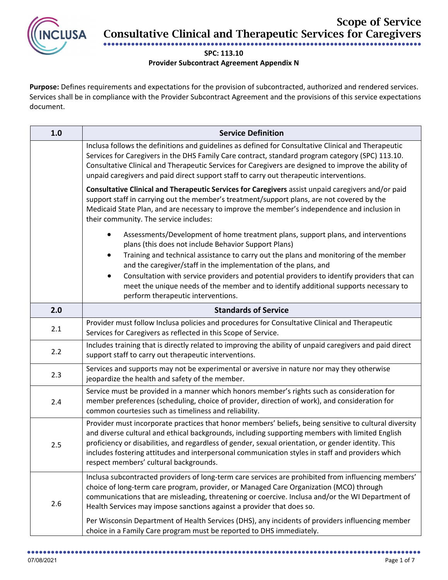

Scope of Service Consultative Clinical and Therapeutic Services for Caregivers

## ●●●●●●●●●●●●●●●●●●●●●●●●●●●●●●●●●●●●●●●●●●●●●●●●●●●●●●●●●●●●●●●●●●●●●●●●●●●●●●●● **SPC: 113.10**

## **Provider Subcontract Agreement Appendix N**

**Purpose:** Defines requirements and expectations for the provision of subcontracted, authorized and rendered services. Services shall be in compliance with the Provider Subcontract Agreement and the provisions of this service expectations document.

| 1.0 | <b>Service Definition</b>                                                                                                                                                                                                                                                                                                                                                                                                                                      |
|-----|----------------------------------------------------------------------------------------------------------------------------------------------------------------------------------------------------------------------------------------------------------------------------------------------------------------------------------------------------------------------------------------------------------------------------------------------------------------|
|     | Inclusa follows the definitions and guidelines as defined for Consultative Clinical and Therapeutic<br>Services for Caregivers in the DHS Family Care contract, standard program category (SPC) 113.10.<br>Consultative Clinical and Therapeutic Services for Caregivers are designed to improve the ability of<br>unpaid caregivers and paid direct support staff to carry out therapeutic interventions.                                                     |
|     | Consultative Clinical and Therapeutic Services for Caregivers assist unpaid caregivers and/or paid<br>support staff in carrying out the member's treatment/support plans, are not covered by the<br>Medicaid State Plan, and are necessary to improve the member's independence and inclusion in<br>their community. The service includes:                                                                                                                     |
|     | Assessments/Development of home treatment plans, support plans, and interventions<br>plans (this does not include Behavior Support Plans)<br>Training and technical assistance to carry out the plans and monitoring of the member<br>٠<br>and the caregiver/staff in the implementation of the plans, and                                                                                                                                                     |
|     | Consultation with service providers and potential providers to identify providers that can<br>meet the unique needs of the member and to identify additional supports necessary to<br>perform therapeutic interventions.                                                                                                                                                                                                                                       |
| 2.0 | <b>Standards of Service</b>                                                                                                                                                                                                                                                                                                                                                                                                                                    |
| 2.1 | Provider must follow Inclusa policies and procedures for Consultative Clinical and Therapeutic<br>Services for Caregivers as reflected in this Scope of Service.                                                                                                                                                                                                                                                                                               |
| 2.2 | Includes training that is directly related to improving the ability of unpaid caregivers and paid direct<br>support staff to carry out therapeutic interventions.                                                                                                                                                                                                                                                                                              |
| 2.3 | Services and supports may not be experimental or aversive in nature nor may they otherwise<br>jeopardize the health and safety of the member.                                                                                                                                                                                                                                                                                                                  |
| 2.4 | Service must be provided in a manner which honors member's rights such as consideration for<br>member preferences (scheduling, choice of provider, direction of work), and consideration for<br>common courtesies such as timeliness and reliability.                                                                                                                                                                                                          |
| 2.5 | Provider must incorporate practices that honor members' beliefs, being sensitive to cultural diversity<br>and diverse cultural and ethical backgrounds, including supporting members with limited English<br>proficiency or disabilities, and regardless of gender, sexual orientation, or gender identity. This<br>includes fostering attitudes and interpersonal communication styles in staff and providers which<br>respect members' cultural backgrounds. |
| 2.6 | Inclusa subcontracted providers of long-term care services are prohibited from influencing members'<br>choice of long-term care program, provider, or Managed Care Organization (MCO) through<br>communications that are misleading, threatening or coercive. Inclusa and/or the WI Department of<br>Health Services may impose sanctions against a provider that does so.                                                                                     |
|     | Per Wisconsin Department of Health Services (DHS), any incidents of providers influencing member<br>choice in a Family Care program must be reported to DHS immediately.                                                                                                                                                                                                                                                                                       |

●●●●●●●●●●●●●●●●●●●●●●●●●●●●●●●●●●●●●●●●●●●●●●●●●●●●●●●●●●●●●●●●●●●●●●●●●●●●●●●●●●●●●●●●●●●●●●●●●●●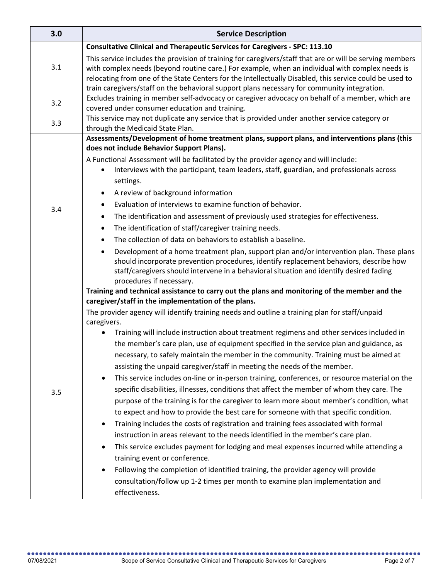| 3.0 | <b>Service Description</b>                                                                                                                                                                                                                                                                                                                                                                                                                                                                                                                                                                                                                                                                                                                                                                                                                                                                                                                                                                                                                                                                                                                                                                                                                                                                                                                                                                                                                                                                                                       |
|-----|----------------------------------------------------------------------------------------------------------------------------------------------------------------------------------------------------------------------------------------------------------------------------------------------------------------------------------------------------------------------------------------------------------------------------------------------------------------------------------------------------------------------------------------------------------------------------------------------------------------------------------------------------------------------------------------------------------------------------------------------------------------------------------------------------------------------------------------------------------------------------------------------------------------------------------------------------------------------------------------------------------------------------------------------------------------------------------------------------------------------------------------------------------------------------------------------------------------------------------------------------------------------------------------------------------------------------------------------------------------------------------------------------------------------------------------------------------------------------------------------------------------------------------|
| 3.1 | <b>Consultative Clinical and Therapeutic Services for Caregivers - SPC: 113.10</b>                                                                                                                                                                                                                                                                                                                                                                                                                                                                                                                                                                                                                                                                                                                                                                                                                                                                                                                                                                                                                                                                                                                                                                                                                                                                                                                                                                                                                                               |
|     | This service includes the provision of training for caregivers/staff that are or will be serving members<br>with complex needs (beyond routine care.) For example, when an individual with complex needs is<br>relocating from one of the State Centers for the Intellectually Disabled, this service could be used to<br>train caregivers/staff on the behavioral support plans necessary for community integration.                                                                                                                                                                                                                                                                                                                                                                                                                                                                                                                                                                                                                                                                                                                                                                                                                                                                                                                                                                                                                                                                                                            |
| 3.2 | Excludes training in member self-advocacy or caregiver advocacy on behalf of a member, which are                                                                                                                                                                                                                                                                                                                                                                                                                                                                                                                                                                                                                                                                                                                                                                                                                                                                                                                                                                                                                                                                                                                                                                                                                                                                                                                                                                                                                                 |
|     | covered under consumer education and training.<br>This service may not duplicate any service that is provided under another service category or                                                                                                                                                                                                                                                                                                                                                                                                                                                                                                                                                                                                                                                                                                                                                                                                                                                                                                                                                                                                                                                                                                                                                                                                                                                                                                                                                                                  |
| 3.3 | through the Medicaid State Plan.                                                                                                                                                                                                                                                                                                                                                                                                                                                                                                                                                                                                                                                                                                                                                                                                                                                                                                                                                                                                                                                                                                                                                                                                                                                                                                                                                                                                                                                                                                 |
| 3.4 | Assessments/Development of home treatment plans, support plans, and interventions plans (this<br>does not include Behavior Support Plans).<br>A Functional Assessment will be facilitated by the provider agency and will include:<br>Interviews with the participant, team leaders, staff, guardian, and professionals across<br>$\bullet$<br>settings.<br>A review of background information<br>٠<br>Evaluation of interviews to examine function of behavior.<br>$\bullet$<br>The identification and assessment of previously used strategies for effectiveness.<br>$\bullet$<br>The identification of staff/caregiver training needs.<br>$\bullet$<br>The collection of data on behaviors to establish a baseline.<br>$\bullet$<br>Development of a home treatment plan, support plan and/or intervention plan. These plans<br>$\bullet$<br>should incorporate prevention procedures, identify replacement behaviors, describe how<br>staff/caregivers should intervene in a behavioral situation and identify desired fading<br>procedures if necessary.                                                                                                                                                                                                                                                                                                                                                                                                                                                                    |
| 3.5 | Training and technical assistance to carry out the plans and monitoring of the member and the<br>caregiver/staff in the implementation of the plans.<br>The provider agency will identify training needs and outline a training plan for staff/unpaid<br>caregivers.<br>Training will include instruction about treatment regimens and other services included in<br>$\bullet$<br>the member's care plan, use of equipment specified in the service plan and guidance, as<br>necessary, to safely maintain the member in the community. Training must be aimed at<br>assisting the unpaid caregiver/staff in meeting the needs of the member.<br>This service includes on-line or in-person training, conferences, or resource material on the<br>specific disabilities, illnesses, conditions that affect the member of whom they care. The<br>purpose of the training is for the caregiver to learn more about member's condition, what<br>to expect and how to provide the best care for someone with that specific condition.<br>Training includes the costs of registration and training fees associated with formal<br>instruction in areas relevant to the needs identified in the member's care plan.<br>This service excludes payment for lodging and meal expenses incurred while attending a<br>training event or conference.<br>Following the completion of identified training, the provider agency will provide<br>consultation/follow up 1-2 times per month to examine plan implementation and<br>effectiveness. |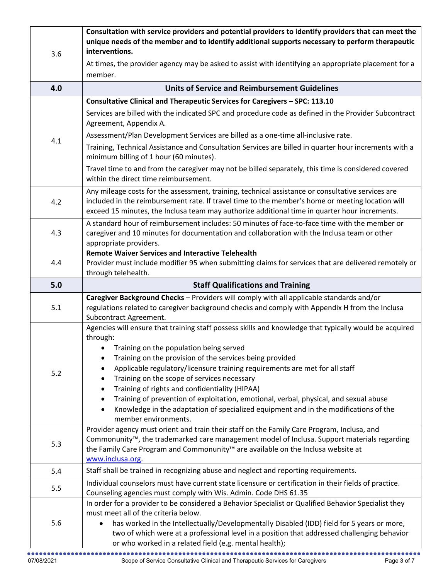| 3.6 | Consultation with service providers and potential providers to identify providers that can meet the<br>unique needs of the member and to identify additional supports necessary to perform therapeutic<br>interventions.                                                                                                                                                                                                                                                                                                                                                                                           |
|-----|--------------------------------------------------------------------------------------------------------------------------------------------------------------------------------------------------------------------------------------------------------------------------------------------------------------------------------------------------------------------------------------------------------------------------------------------------------------------------------------------------------------------------------------------------------------------------------------------------------------------|
|     | At times, the provider agency may be asked to assist with identifying an appropriate placement for a<br>member.                                                                                                                                                                                                                                                                                                                                                                                                                                                                                                    |
| 4.0 | <b>Units of Service and Reimbursement Guidelines</b>                                                                                                                                                                                                                                                                                                                                                                                                                                                                                                                                                               |
|     | Consultative Clinical and Therapeutic Services for Caregivers - SPC: 113.10                                                                                                                                                                                                                                                                                                                                                                                                                                                                                                                                        |
|     | Services are billed with the indicated SPC and procedure code as defined in the Provider Subcontract<br>Agreement, Appendix A.                                                                                                                                                                                                                                                                                                                                                                                                                                                                                     |
| 4.1 | Assessment/Plan Development Services are billed as a one-time all-inclusive rate.                                                                                                                                                                                                                                                                                                                                                                                                                                                                                                                                  |
|     | Training, Technical Assistance and Consultation Services are billed in quarter hour increments with a<br>minimum billing of 1 hour (60 minutes).                                                                                                                                                                                                                                                                                                                                                                                                                                                                   |
|     | Travel time to and from the caregiver may not be billed separately, this time is considered covered<br>within the direct time reimbursement.                                                                                                                                                                                                                                                                                                                                                                                                                                                                       |
| 4.2 | Any mileage costs for the assessment, training, technical assistance or consultative services are<br>included in the reimbursement rate. If travel time to the member's home or meeting location will<br>exceed 15 minutes, the Inclusa team may authorize additional time in quarter hour increments.                                                                                                                                                                                                                                                                                                             |
| 4.3 | A standard hour of reimbursement includes: 50 minutes of face-to-face time with the member or<br>caregiver and 10 minutes for documentation and collaboration with the Inclusa team or other<br>appropriate providers.                                                                                                                                                                                                                                                                                                                                                                                             |
| 4.4 | <b>Remote Waiver Services and Interactive Telehealth</b><br>Provider must include modifier 95 when submitting claims for services that are delivered remotely or<br>through telehealth.                                                                                                                                                                                                                                                                                                                                                                                                                            |
| 5.0 | <b>Staff Qualifications and Training</b>                                                                                                                                                                                                                                                                                                                                                                                                                                                                                                                                                                           |
| 5.1 | Caregiver Background Checks - Providers will comply with all applicable standards and/or<br>regulations related to caregiver background checks and comply with Appendix H from the Inclusa<br>Subcontract Agreement.                                                                                                                                                                                                                                                                                                                                                                                               |
| 5.2 | Agencies will ensure that training staff possess skills and knowledge that typically would be acquired<br>through:<br>Training on the population being served<br>Training on the provision of the services being provided<br>Applicable regulatory/licensure training requirements are met for all staff<br>Training on the scope of services necessary<br>Training of rights and confidentiality (HIPAA)<br>Training of prevention of exploitation, emotional, verbal, physical, and sexual abuse<br>Knowledge in the adaptation of specialized equipment and in the modifications of the<br>member environments. |
| 5.3 | Provider agency must orient and train their staff on the Family Care Program, Inclusa, and<br>Commonunity™, the trademarked care management model of Inclusa. Support materials regarding<br>the Family Care Program and Commonunity <sup>™</sup> are available on the Inclusa website at<br>www.inclusa.org                                                                                                                                                                                                                                                                                                       |
| 5.4 | Staff shall be trained in recognizing abuse and neglect and reporting requirements.                                                                                                                                                                                                                                                                                                                                                                                                                                                                                                                                |
| 5.5 | Individual counselors must have current state licensure or certification in their fields of practice.<br>Counseling agencies must comply with Wis. Admin. Code DHS 61.35                                                                                                                                                                                                                                                                                                                                                                                                                                           |
| 5.6 | In order for a provider to be considered a Behavior Specialist or Qualified Behavior Specialist they<br>must meet all of the criteria below.<br>has worked in the Intellectually/Developmentally Disabled (IDD) field for 5 years or more,<br>$\bullet$<br>two of which were at a professional level in a position that addressed challenging behavior<br>or who worked in a related field (e.g. mental health);                                                                                                                                                                                                   |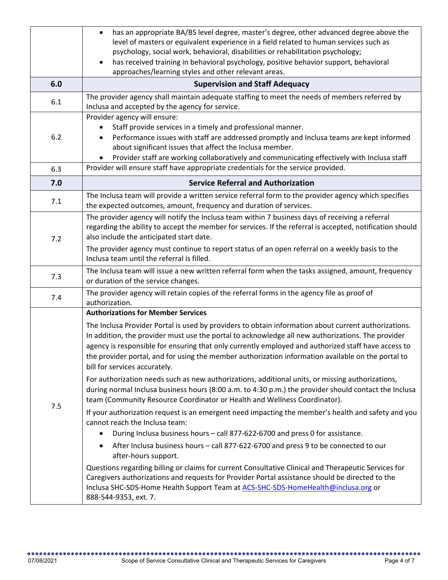|     | has an appropriate BA/BS level degree, master's degree, other advanced degree above the<br>$\bullet$<br>level of masters or equivalent experience in a field related to human services such as<br>psychology, social work, behavioral, disabilities or rehabilitation psychology;                                                                                                                                                                       |
|-----|---------------------------------------------------------------------------------------------------------------------------------------------------------------------------------------------------------------------------------------------------------------------------------------------------------------------------------------------------------------------------------------------------------------------------------------------------------|
|     | has received training in behavioral psychology, positive behavior support, behavioral<br>$\bullet$<br>approaches/learning styles and other relevant areas.                                                                                                                                                                                                                                                                                              |
| 6.0 | <b>Supervision and Staff Adequacy</b>                                                                                                                                                                                                                                                                                                                                                                                                                   |
| 6.1 | The provider agency shall maintain adequate staffing to meet the needs of members referred by<br>Inclusa and accepted by the agency for service.                                                                                                                                                                                                                                                                                                        |
| 6.2 | Provider agency will ensure:<br>Staff provide services in a timely and professional manner.<br>Performance issues with staff are addressed promptly and Inclusa teams are kept informed<br>$\bullet$<br>about significant issues that affect the Inclusa member.<br>Provider staff are working collaboratively and communicating effectively with Inclusa staff                                                                                         |
| 6.3 | Provider will ensure staff have appropriate credentials for the service provided.                                                                                                                                                                                                                                                                                                                                                                       |
| 7.0 | <b>Service Referral and Authorization</b>                                                                                                                                                                                                                                                                                                                                                                                                               |
| 7.1 | The Inclusa team will provide a written service referral form to the provider agency which specifies<br>the expected outcomes, amount, frequency and duration of services.                                                                                                                                                                                                                                                                              |
| 7.2 | The provider agency will notify the Inclusa team within 7 business days of receiving a referral<br>regarding the ability to accept the member for services. If the referral is accepted, notification should<br>also include the anticipated start date.<br>The provider agency must continue to report status of an open referral on a weekly basis to the<br>Inclusa team until the referral is filled.                                               |
| 7.3 | The Inclusa team will issue a new written referral form when the tasks assigned, amount, frequency<br>or duration of the service changes.                                                                                                                                                                                                                                                                                                               |
| 7.4 | The provider agency will retain copies of the referral forms in the agency file as proof of<br>authorization.                                                                                                                                                                                                                                                                                                                                           |
|     | <b>Authorizations for Member Services</b>                                                                                                                                                                                                                                                                                                                                                                                                               |
| 7.5 | The Inclusa Provider Portal is used by providers to obtain information about current authorizations.<br>In addition, the provider must use the portal to acknowledge all new authorizations. The provider<br>agency is responsible for ensuring that only currently employed and authorized staff have access to<br>the provider portal, and for using the member authorization information available on the portal to<br>bill for services accurately. |
|     | For authorization needs such as new authorizations, additional units, or missing authorizations,<br>during normal Inclusa business hours (8:00 a.m. to 4:30 p.m.) the provider should contact the Inclusa<br>team (Community Resource Coordinator or Health and Wellness Coordinator).                                                                                                                                                                  |
|     | If your authorization request is an emergent need impacting the member's health and safety and you<br>cannot reach the Inclusa team:<br>During Inclusa business hours - call 877-622-6700 and press 0 for assistance.<br>$\bullet$                                                                                                                                                                                                                      |
|     | After Inclusa business hours - call 877-622-6700 and press 9 to be connected to our<br>$\bullet$<br>after-hours support.                                                                                                                                                                                                                                                                                                                                |
|     | Questions regarding billing or claims for current Consultative Clinical and Therapeutic Services for<br>Caregivers authorizations and requests for Provider Portal assistance should be directed to the<br>Inclusa SHC-SDS-Home Health Support Team at ACS-SHC-SDS-HomeHealth@inclusa.org or<br>888-544-9353, ext. 7.                                                                                                                                   |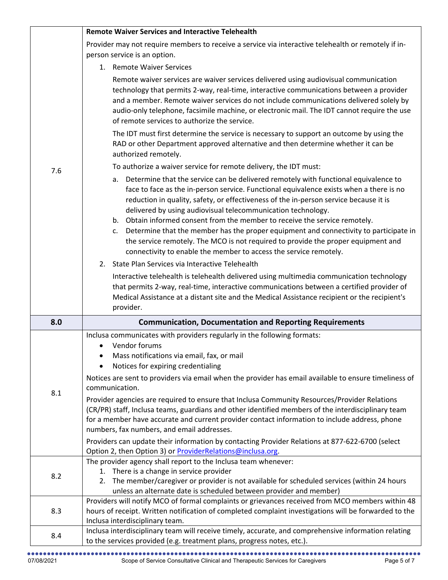|     | <b>Remote Waiver Services and Interactive Telehealth</b>                                                                                                                                                                                                                                                                                                                                                                                                                                                                                                                                                                                                                                                                                                                                                                                           |
|-----|----------------------------------------------------------------------------------------------------------------------------------------------------------------------------------------------------------------------------------------------------------------------------------------------------------------------------------------------------------------------------------------------------------------------------------------------------------------------------------------------------------------------------------------------------------------------------------------------------------------------------------------------------------------------------------------------------------------------------------------------------------------------------------------------------------------------------------------------------|
|     | Provider may not require members to receive a service via interactive telehealth or remotely if in-                                                                                                                                                                                                                                                                                                                                                                                                                                                                                                                                                                                                                                                                                                                                                |
|     | person service is an option.                                                                                                                                                                                                                                                                                                                                                                                                                                                                                                                                                                                                                                                                                                                                                                                                                       |
|     | 1. Remote Waiver Services                                                                                                                                                                                                                                                                                                                                                                                                                                                                                                                                                                                                                                                                                                                                                                                                                          |
|     | Remote waiver services are waiver services delivered using audiovisual communication<br>technology that permits 2-way, real-time, interactive communications between a provider<br>and a member. Remote waiver services do not include communications delivered solely by<br>audio-only telephone, facsimile machine, or electronic mail. The IDT cannot require the use<br>of remote services to authorize the service.                                                                                                                                                                                                                                                                                                                                                                                                                           |
|     | The IDT must first determine the service is necessary to support an outcome by using the<br>RAD or other Department approved alternative and then determine whether it can be<br>authorized remotely.                                                                                                                                                                                                                                                                                                                                                                                                                                                                                                                                                                                                                                              |
| 7.6 | To authorize a waiver service for remote delivery, the IDT must:                                                                                                                                                                                                                                                                                                                                                                                                                                                                                                                                                                                                                                                                                                                                                                                   |
|     | Determine that the service can be delivered remotely with functional equivalence to<br>а.<br>face to face as the in-person service. Functional equivalence exists when a there is no<br>reduction in quality, safety, or effectiveness of the in-person service because it is<br>delivered by using audiovisual telecommunication technology.<br>b. Obtain informed consent from the member to receive the service remotely.<br>Determine that the member has the proper equipment and connectivity to participate in<br>c.<br>the service remotely. The MCO is not required to provide the proper equipment and<br>connectivity to enable the member to access the service remotely.                                                                                                                                                              |
|     | 2. State Plan Services via Interactive Telehealth                                                                                                                                                                                                                                                                                                                                                                                                                                                                                                                                                                                                                                                                                                                                                                                                  |
|     | Interactive telehealth is telehealth delivered using multimedia communication technology<br>that permits 2-way, real-time, interactive communications between a certified provider of<br>Medical Assistance at a distant site and the Medical Assistance recipient or the recipient's<br>provider.                                                                                                                                                                                                                                                                                                                                                                                                                                                                                                                                                 |
| 8.0 | <b>Communication, Documentation and Reporting Requirements</b>                                                                                                                                                                                                                                                                                                                                                                                                                                                                                                                                                                                                                                                                                                                                                                                     |
| 8.1 | Inclusa communicates with providers regularly in the following formats:<br>Vendor forums<br>$\bullet$<br>Mass notifications via email, fax, or mail<br>Notices for expiring credentialing<br>Notices are sent to providers via email when the provider has email available to ensure timeliness of<br>communication.<br>Provider agencies are required to ensure that Inclusa Community Resources/Provider Relations<br>(CR/PR) staff, Inclusa teams, guardians and other identified members of the interdisciplinary team<br>for a member have accurate and current provider contact information to include address, phone<br>numbers, fax numbers, and email addresses.<br>Providers can update their information by contacting Provider Relations at 877-622-6700 (select<br>Option 2, then Option 3) or <b>ProviderRelations@inclusa.org</b> . |
|     | The provider agency shall report to the Inclusa team whenever:                                                                                                                                                                                                                                                                                                                                                                                                                                                                                                                                                                                                                                                                                                                                                                                     |
| 8.2 | 1. There is a change in service provider<br>The member/caregiver or provider is not available for scheduled services (within 24 hours<br>2.<br>unless an alternate date is scheduled between provider and member)                                                                                                                                                                                                                                                                                                                                                                                                                                                                                                                                                                                                                                  |
| 8.3 | Providers will notify MCO of formal complaints or grievances received from MCO members within 48<br>hours of receipt. Written notification of completed complaint investigations will be forwarded to the<br>Inclusa interdisciplinary team.                                                                                                                                                                                                                                                                                                                                                                                                                                                                                                                                                                                                       |
| 8.4 | Inclusa interdisciplinary team will receive timely, accurate, and comprehensive information relating<br>to the services provided (e.g. treatment plans, progress notes, etc.).                                                                                                                                                                                                                                                                                                                                                                                                                                                                                                                                                                                                                                                                     |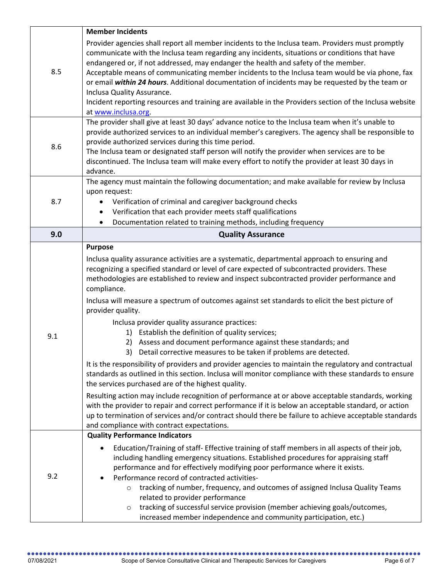|     | <b>Member Incidents</b>                                                                                                                                                                                                                                                                                                                                                                                                                                                                                                                                                                                                                                                                                                                                                                                                                                                                                                                                                                                                                                                                                                                                                                                                                                                                              |
|-----|------------------------------------------------------------------------------------------------------------------------------------------------------------------------------------------------------------------------------------------------------------------------------------------------------------------------------------------------------------------------------------------------------------------------------------------------------------------------------------------------------------------------------------------------------------------------------------------------------------------------------------------------------------------------------------------------------------------------------------------------------------------------------------------------------------------------------------------------------------------------------------------------------------------------------------------------------------------------------------------------------------------------------------------------------------------------------------------------------------------------------------------------------------------------------------------------------------------------------------------------------------------------------------------------------|
| 8.5 | Provider agencies shall report all member incidents to the Inclusa team. Providers must promptly<br>communicate with the Inclusa team regarding any incidents, situations or conditions that have<br>endangered or, if not addressed, may endanger the health and safety of the member.<br>Acceptable means of communicating member incidents to the Inclusa team would be via phone, fax<br>or email within 24 hours. Additional documentation of incidents may be requested by the team or<br>Inclusa Quality Assurance.                                                                                                                                                                                                                                                                                                                                                                                                                                                                                                                                                                                                                                                                                                                                                                           |
|     | Incident reporting resources and training are available in the Providers section of the Inclusa website<br>at www.inclusa.org.                                                                                                                                                                                                                                                                                                                                                                                                                                                                                                                                                                                                                                                                                                                                                                                                                                                                                                                                                                                                                                                                                                                                                                       |
| 8.6 | The provider shall give at least 30 days' advance notice to the Inclusa team when it's unable to<br>provide authorized services to an individual member's caregivers. The agency shall be responsible to<br>provide authorized services during this time period.<br>The Inclusa team or designated staff person will notify the provider when services are to be<br>discontinued. The Inclusa team will make every effort to notify the provider at least 30 days in<br>advance.                                                                                                                                                                                                                                                                                                                                                                                                                                                                                                                                                                                                                                                                                                                                                                                                                     |
|     | The agency must maintain the following documentation; and make available for review by Inclusa                                                                                                                                                                                                                                                                                                                                                                                                                                                                                                                                                                                                                                                                                                                                                                                                                                                                                                                                                                                                                                                                                                                                                                                                       |
| 8.7 | upon request:<br>Verification of criminal and caregiver background checks<br>$\bullet$                                                                                                                                                                                                                                                                                                                                                                                                                                                                                                                                                                                                                                                                                                                                                                                                                                                                                                                                                                                                                                                                                                                                                                                                               |
|     | Verification that each provider meets staff qualifications<br>$\bullet$                                                                                                                                                                                                                                                                                                                                                                                                                                                                                                                                                                                                                                                                                                                                                                                                                                                                                                                                                                                                                                                                                                                                                                                                                              |
|     | Documentation related to training methods, including frequency<br>$\bullet$                                                                                                                                                                                                                                                                                                                                                                                                                                                                                                                                                                                                                                                                                                                                                                                                                                                                                                                                                                                                                                                                                                                                                                                                                          |
| 9.0 | <b>Quality Assurance</b>                                                                                                                                                                                                                                                                                                                                                                                                                                                                                                                                                                                                                                                                                                                                                                                                                                                                                                                                                                                                                                                                                                                                                                                                                                                                             |
| 9.1 | <b>Purpose</b><br>Inclusa quality assurance activities are a systematic, departmental approach to ensuring and<br>recognizing a specified standard or level of care expected of subcontracted providers. These<br>methodologies are established to review and inspect subcontracted provider performance and<br>compliance.<br>Inclusa will measure a spectrum of outcomes against set standards to elicit the best picture of<br>provider quality.<br>Inclusa provider quality assurance practices:<br>1) Establish the definition of quality services;<br>2) Assess and document performance against these standards; and<br>Detail corrective measures to be taken if problems are detected.<br>3)<br>It is the responsibility of providers and provider agencies to maintain the regulatory and contractual<br>standards as outlined in this section. Inclusa will monitor compliance with these standards to ensure<br>the services purchased are of the highest quality.<br>Resulting action may include recognition of performance at or above acceptable standards, working<br>with the provider to repair and correct performance if it is below an acceptable standard, or action<br>up to termination of services and/or contract should there be failure to achieve acceptable standards |
| 9.2 | and compliance with contract expectations.<br><b>Quality Performance Indicators</b><br>Education/Training of staff- Effective training of staff members in all aspects of their job,<br>including handling emergency situations. Established procedures for appraising staff<br>performance and for effectively modifying poor performance where it exists.<br>Performance record of contracted activities-<br>tracking of number, frequency, and outcomes of assigned Inclusa Quality Teams<br>$\circ$<br>related to provider performance<br>tracking of successful service provision (member achieving goals/outcomes,<br>$\circ$<br>increased member independence and community participation, etc.)                                                                                                                                                                                                                                                                                                                                                                                                                                                                                                                                                                                              |